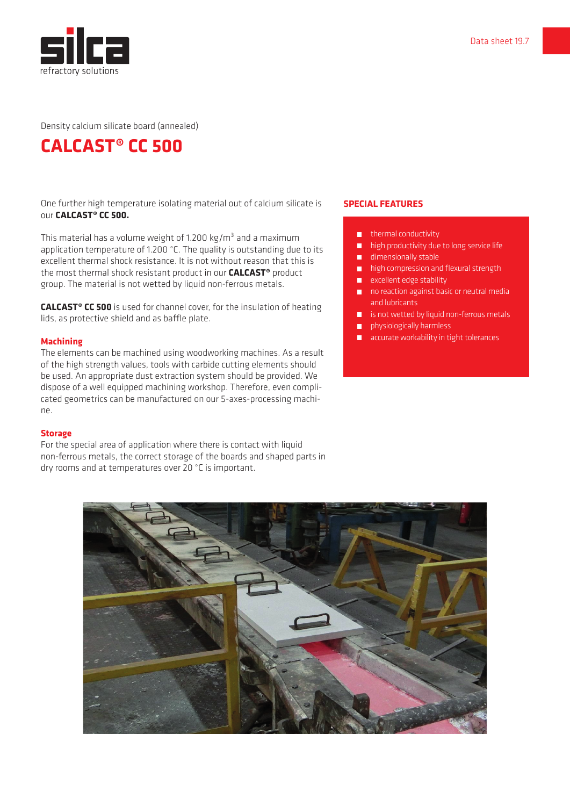

Density calcium silicate board (annealed)

# **CALCAST® CC 500**

One further high temperature isolating material out of calcium silicate is our **CALCAST® CC 500.**

This material has a volume weight of 1.200 kg/m<sup>3</sup> and a maximum application temperature of 1.200 °C. The quality is outstanding due to its excellent thermal shock resistance. It is not without reason that this is the most thermal shock resistant product in our **CALCAST®** product group. The material is not wetted by liquid non-ferrous metals.

**CALCAST® CC 500** is used for channel cover, for the insulation of heating lids, as protective shield and as baffle plate.

#### **Machining**

The elements can be machined using woodworking machines. As a result of the high strength values, tools with carbide cutting elements should be used. An appropriate dust extraction system should be provided. We dispose of a well equipped machining workshop. Therefore, even complicated geometrics can be manufactured on our 5-axes-processing machine.

#### **Storage**

For the special area of application where there is contact with liquid non-ferrous metals, the correct storage of the boards and shaped parts in dry rooms and at temperatures over 20 °C is important.

### **SPECIAL FEATURES**

- $\blacksquare$  thermal conductivity
- high productivity due to long service life  $\blacksquare$
- dimensionally stable
- $\blacksquare$ high compression and flexural strength
- $\blacksquare$  excellent edge stability
- no reaction against basic or neutral media and lubricants
- **is not wetted by liquid non-ferrous metals**
- **n** physiologically harmless
- **a** accurate workability in tight tolerances